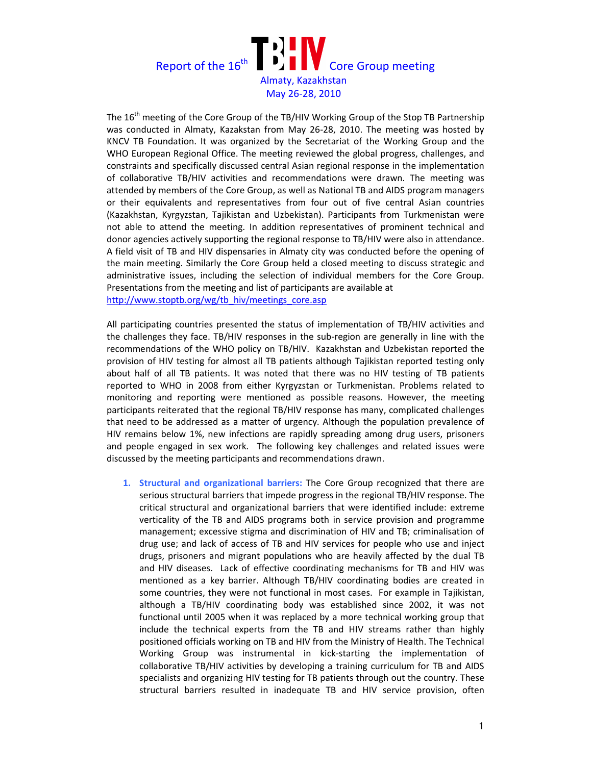

The 16<sup>th</sup> meeting of the Core Group of the TB/HIV Working Group of the Stop TB Partnership was conducted in Almaty, Kazakstan from May 26-28, 2010. The meeting was hosted by KNCV TB Foundation. It was organized by the Secretariat of the Working Group and the WHO European Regional Office. The meeting reviewed the global progress, challenges, and constraints and specifically discussed central Asian regional response in the implementation of collaborative TB/HIV activities and recommendations were drawn. The meeting was attended by members of the Core Group, as well as National TB and AIDS program managers or their equivalents and representatives from four out of five central Asian countries (Kazakhstan, Kyrgyzstan, Tajikistan and Uzbekistan). Participants from Turkmenistan were not able to attend the meeting. In addition representatives of prominent technical and donor agencies actively supporting the regional response to TB/HIV were also in attendance. A field visit of TB and HIV dispensaries in Almaty city was conducted before the opening of the main meeting. Similarly the Core Group held a closed meeting to discuss strategic and administrative issues, including the selection of individual members for the Core Group. Presentations from the meeting and list of participants are available at http://www.stoptb.org/wg/tb\_hiv/meetings\_core.asp

All participating countries presented the status of implementation of TB/HIV activities and the challenges they face. TB/HIV responses in the sub-region are generally in line with the recommendations of the WHO policy on TB/HIV. Kazakhstan and Uzbekistan reported the provision of HIV testing for almost all TB patients although Tajikistan reported testing only about half of all TB patients. It was noted that there was no HIV testing of TB patients reported to WHO in 2008 from either Kyrgyzstan or Turkmenistan. Problems related to monitoring and reporting were mentioned as possible reasons. However, the meeting participants reiterated that the regional TB/HIV response has many, complicated challenges that need to be addressed as a matter of urgency. Although the population prevalence of HIV remains below 1%, new infections are rapidly spreading among drug users, prisoners and people engaged in sex work. The following key challenges and related issues were discussed by the meeting participants and recommendations drawn.

1. Structural and organizational barriers: The Core Group recognized that there are serious structural barriers that impede progress in the regional TB/HIV response. The critical structural and organizational barriers that were identified include: extreme verticality of the TB and AIDS programs both in service provision and programme management; excessive stigma and discrimination of HIV and TB; criminalisation of drug use; and lack of access of TB and HIV services for people who use and inject drugs, prisoners and migrant populations who are heavily affected by the dual TB and HIV diseases. Lack of effective coordinating mechanisms for TB and HIV was mentioned as a key barrier. Although TB/HIV coordinating bodies are created in some countries, they were not functional in most cases. For example in Tajikistan, although a TB/HIV coordinating body was established since 2002, it was not functional until 2005 when it was replaced by a more technical working group that include the technical experts from the TB and HIV streams rather than highly positioned officials working on TB and HIV from the Ministry of Health. The Technical Working Group was instrumental in kick-starting the implementation of collaborative TB/HIV activities by developing a training curriculum for TB and AIDS specialists and organizing HIV testing for TB patients through out the country. These structural barriers resulted in inadequate TB and HIV service provision, often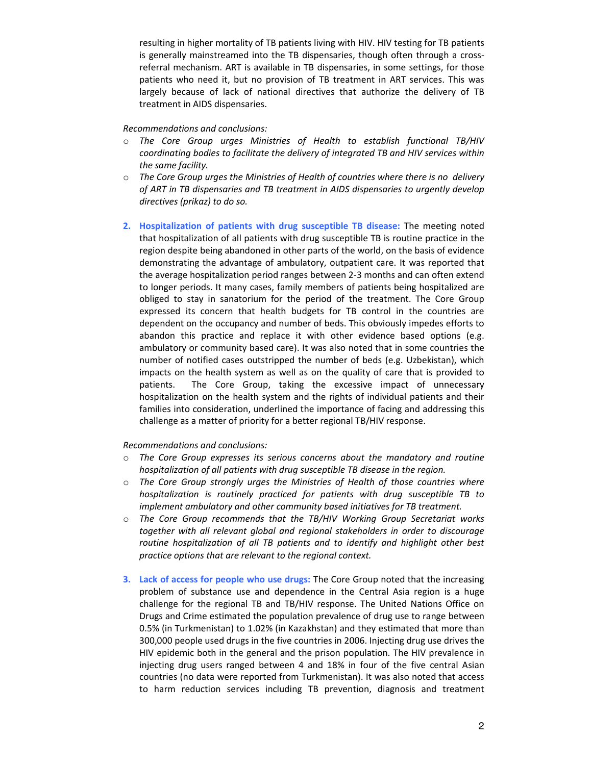resulting in higher mortality of TB patients living with HIV. HIV testing for TB patients is generally mainstreamed into the TB dispensaries, though often through a crossreferral mechanism. ART is available in TB dispensaries, in some settings, for those patients who need it, but no provision of TB treatment in ART services. This was largely because of lack of national directives that authorize the delivery of TB treatment in AIDS dispensaries.

## Recommendations and conclusions:

- o The Core Group urges Ministries of Health to establish functional TB/HIV coordinating bodies to facilitate the delivery of integrated TB and HIV services within the same facility.
- $\circ$  The Core Group urges the Ministries of Health of countries where there is no delivery of ART in TB dispensaries and TB treatment in AIDS dispensaries to urgently develop directives (prikaz) to do so.
- 2. Hospitalization of patients with drug susceptible TB disease: The meeting noted that hospitalization of all patients with drug susceptible TB is routine practice in the region despite being abandoned in other parts of the world, on the basis of evidence demonstrating the advantage of ambulatory, outpatient care. It was reported that the average hospitalization period ranges between 2-3 months and can often extend to longer periods. It many cases, family members of patients being hospitalized are obliged to stay in sanatorium for the period of the treatment. The Core Group expressed its concern that health budgets for TB control in the countries are dependent on the occupancy and number of beds. This obviously impedes efforts to abandon this practice and replace it with other evidence based options (e.g. ambulatory or community based care). It was also noted that in some countries the number of notified cases outstripped the number of beds (e.g. Uzbekistan), which impacts on the health system as well as on the quality of care that is provided to patients. The Core Group, taking the excessive impact of unnecessary hospitalization on the health system and the rights of individual patients and their families into consideration, underlined the importance of facing and addressing this challenge as a matter of priority for a better regional TB/HIV response.

## Recommendations and conclusions:

- o The Core Group expresses its serious concerns about the mandatory and routine hospitalization of all patients with drug susceptible TB disease in the region.
- $\circ$  The Core Group strongly urges the Ministries of Health of those countries where hospitalization is routinely practiced for patients with drug susceptible TB to implement ambulatory and other community based initiatives for TB treatment.
- $\circ$  The Core Group recommends that the TB/HIV Working Group Secretariat works together with all relevant global and regional stakeholders in order to discourage routine hospitalization of all TB patients and to identify and highlight other best practice options that are relevant to the regional context.
- 3. Lack of access for people who use drugs: The Core Group noted that the increasing problem of substance use and dependence in the Central Asia region is a huge challenge for the regional TB and TB/HIV response. The United Nations Office on Drugs and Crime estimated the population prevalence of drug use to range between 0.5% (in Turkmenistan) to 1.02% (in Kazakhstan) and they estimated that more than 300,000 people used drugs in the five countries in 2006. Injecting drug use drives the HIV epidemic both in the general and the prison population. The HIV prevalence in injecting drug users ranged between 4 and 18% in four of the five central Asian countries (no data were reported from Turkmenistan). It was also noted that access to harm reduction services including TB prevention, diagnosis and treatment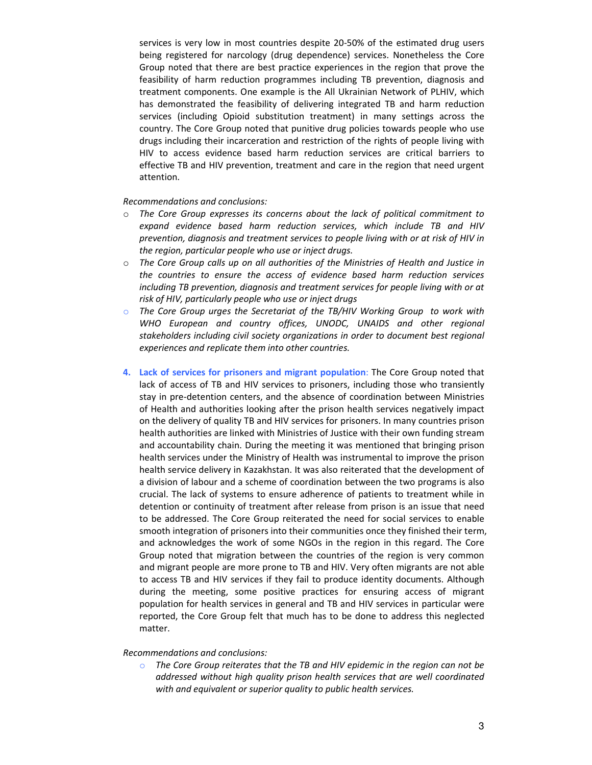services is very low in most countries despite 20-50% of the estimated drug users being registered for narcology (drug dependence) services. Nonetheless the Core Group noted that there are best practice experiences in the region that prove the feasibility of harm reduction programmes including TB prevention, diagnosis and treatment components. One example is the All Ukrainian Network of PLHIV, which has demonstrated the feasibility of delivering integrated TB and harm reduction services (including Opioid substitution treatment) in many settings across the country. The Core Group noted that punitive drug policies towards people who use drugs including their incarceration and restriction of the rights of people living with HIV to access evidence based harm reduction services are critical barriers to effective TB and HIV prevention, treatment and care in the region that need urgent attention.

Recommendations and conclusions:

- $\circ$  The Core Group expresses its concerns about the lack of political commitment to expand evidence based harm reduction services, which include TB and HIV prevention, diagnosis and treatment services to people living with or at risk of HIV in the region, particular people who use or inject drugs.
- $\circ$  The Core Group calls up on all authorities of the Ministries of Health and Justice in the countries to ensure the access of evidence based harm reduction services including TB prevention, diagnosis and treatment services for people living with or at risk of HIV, particularly people who use or inject drugs
- o The Core Group urges the Secretariat of the TB/HIV Working Group to work with WHO European and country offices, UNODC, UNAIDS and other regional stakeholders including civil society organizations in order to document best regional experiences and replicate them into other countries.
- 4. Lack of services for prisoners and migrant population: The Core Group noted that lack of access of TB and HIV services to prisoners, including those who transiently stay in pre-detention centers, and the absence of coordination between Ministries of Health and authorities looking after the prison health services negatively impact on the delivery of quality TB and HIV services for prisoners. In many countries prison health authorities are linked with Ministries of Justice with their own funding stream and accountability chain. During the meeting it was mentioned that bringing prison health services under the Ministry of Health was instrumental to improve the prison health service delivery in Kazakhstan. It was also reiterated that the development of a division of labour and a scheme of coordination between the two programs is also crucial. The lack of systems to ensure adherence of patients to treatment while in detention or continuity of treatment after release from prison is an issue that need to be addressed. The Core Group reiterated the need for social services to enable smooth integration of prisoners into their communities once they finished their term, and acknowledges the work of some NGOs in the region in this regard. The Core Group noted that migration between the countries of the region is very common and migrant people are more prone to TB and HIV. Very often migrants are not able to access TB and HIV services if they fail to produce identity documents. Although during the meeting, some positive practices for ensuring access of migrant population for health services in general and TB and HIV services in particular were reported, the Core Group felt that much has to be done to address this neglected matter.

## Recommendations and conclusions:

 $\circ$  The Core Group reiterates that the TB and HIV epidemic in the region can not be addressed without high quality prison health services that are well coordinated with and equivalent or superior quality to public health services.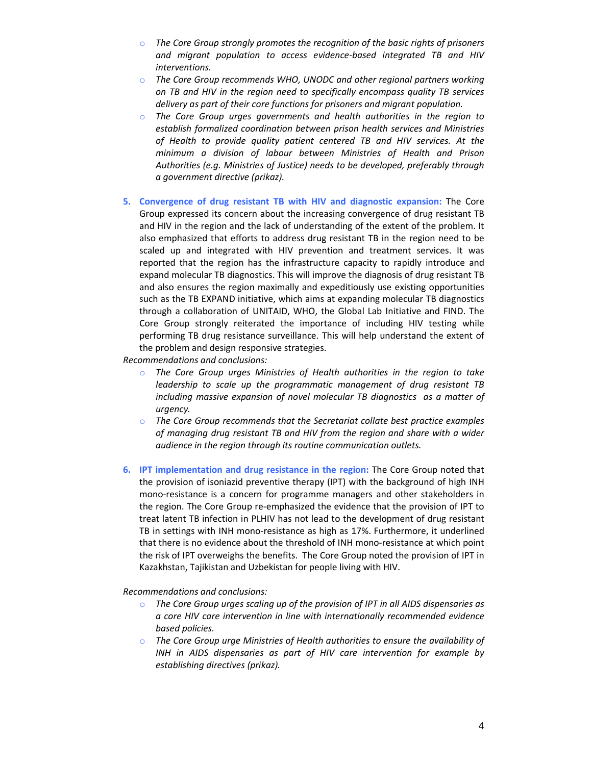- $\circ$  The Core Group strongly promotes the recognition of the basic rights of prisoners and migrant population to access evidence-based integrated TB and HIV interventions.
- o The Core Group recommends WHO, UNODC and other regional partners working on TB and HIV in the region need to specifically encompass quality TB services delivery as part of their core functions for prisoners and migrant population.
- o The Core Group urges governments and health authorities in the region to establish formalized coordination between prison health services and Ministries of Health to provide quality patient centered TB and HIV services. At the minimum a division of labour between Ministries of Health and Prison Authorities (e.g. Ministries of Justice) needs to be developed, preferably through a government directive (prikaz).
- 5. Convergence of drug resistant TB with HIV and diagnostic expansion: The Core Group expressed its concern about the increasing convergence of drug resistant TB and HIV in the region and the lack of understanding of the extent of the problem. It also emphasized that efforts to address drug resistant TB in the region need to be scaled up and integrated with HIV prevention and treatment services. It was reported that the region has the infrastructure capacity to rapidly introduce and expand molecular TB diagnostics. This will improve the diagnosis of drug resistant TB and also ensures the region maximally and expeditiously use existing opportunities such as the TB EXPAND initiative, which aims at expanding molecular TB diagnostics through a collaboration of UNITAID, WHO, the Global Lab Initiative and FIND. The Core Group strongly reiterated the importance of including HIV testing while performing TB drug resistance surveillance. This will help understand the extent of the problem and design responsive strategies.

Recommendations and conclusions:

- o The Core Group urges Ministries of Health authorities in the region to take leadership to scale up the programmatic management of drug resistant TB including massive expansion of novel molecular TB diagnostics as a matter of urgency.
- $\circ$  The Core Group recommends that the Secretariat collate best practice examples of managing drug resistant TB and HIV from the region and share with a wider audience in the region through its routine communication outlets.
- 6. IPT implementation and drug resistance in the region: The Core Group noted that the provision of isoniazid preventive therapy (IPT) with the background of high INH mono-resistance is a concern for programme managers and other stakeholders in the region. The Core Group re-emphasized the evidence that the provision of IPT to treat latent TB infection in PLHIV has not lead to the development of drug resistant TB in settings with INH mono-resistance as high as 17%. Furthermore, it underlined that there is no evidence about the threshold of INH mono-resistance at which point the risk of IPT overweighs the benefits. The Core Group noted the provision of IPT in Kazakhstan, Tajikistan and Uzbekistan for people living with HIV.

Recommendations and conclusions:

- $\circ$  The Core Group urges scaling up of the provision of IPT in all AIDS dispensaries as a core HIV care intervention in line with internationally recommended evidence based policies.
- $\circ$  The Core Group urge Ministries of Health authorities to ensure the availability of INH in AIDS dispensaries as part of HIV care intervention for example by establishing directives (prikaz).